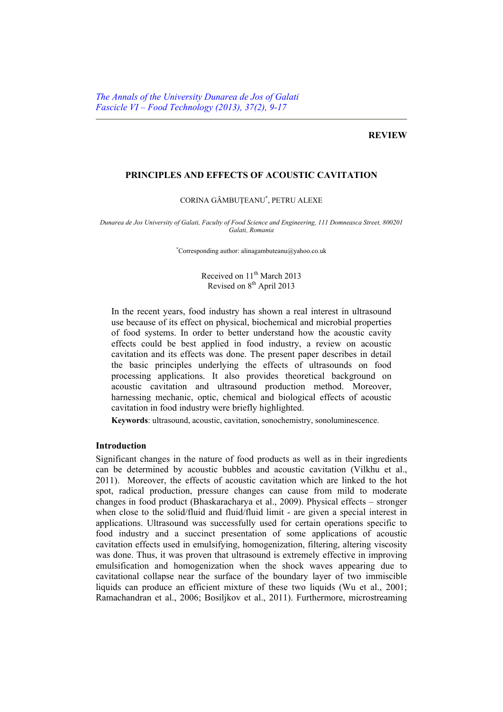### **REVIEW**

## **PRINCIPLES AND EFFECTS OF ACOUSTIC CAVITATION**

#### CORINA GÂMBUŢEANU\* , PETRU ALEXE

*Dunarea de Jos University of Galati, Faculty of Food Science and Engineering, 111 Domneasca Street, 800201 Galati, Romania* 

\* Corresponding author: alinagambuteanu@yahoo.co.uk

Received on 11<sup>th</sup> March 2013 Revised on 8<sup>th</sup> April 2013

In the recent years, food industry has shown a real interest in ultrasound use because of its effect on physical, biochemical and microbial properties of food systems. In order to better understand how the acoustic cavity effects could be best applied in food industry, a review on acoustic cavitation and its effects was done. The present paper describes in detail the basic principles underlying the effects of ultrasounds on food processing applications. It also provides theoretical background on acoustic cavitation and ultrasound production method. Moreover, harnessing mechanic, optic, chemical and biological effects of acoustic cavitation in food industry were briefly highlighted.

**Keywords**: ultrasound, acoustic, cavitation, sonochemistry, sonoluminescence.

#### **Introduction**

Significant changes in the nature of food products as well as in their ingredients can be determined by acoustic bubbles and acoustic cavitation (Vilkhu et al., 2011). Moreover, the effects of acoustic cavitation which are linked to the hot spot, radical production, pressure changes can cause from mild to moderate changes in food product (Bhaskaracharya et al., 2009). Physical effects – stronger when close to the solid/fluid and fluid/fluid limit - are given a special interest in applications. Ultrasound was successfully used for certain operations specific to food industry and a succinct presentation of some applications of acoustic cavitation effects used in emulsifying, homogenization, filtering, altering viscosity was done. Thus, it was proven that ultrasound is extremely effective in improving emulsification and homogenization when the shock waves appearing due to cavitational collapse near the surface of the boundary layer of two immiscible liquids can produce an efficient mixture of these two liquids (Wu et al., 2001; Ramachandran et al., 2006; Bosiljkov et al., 2011). Furthermore, microstreaming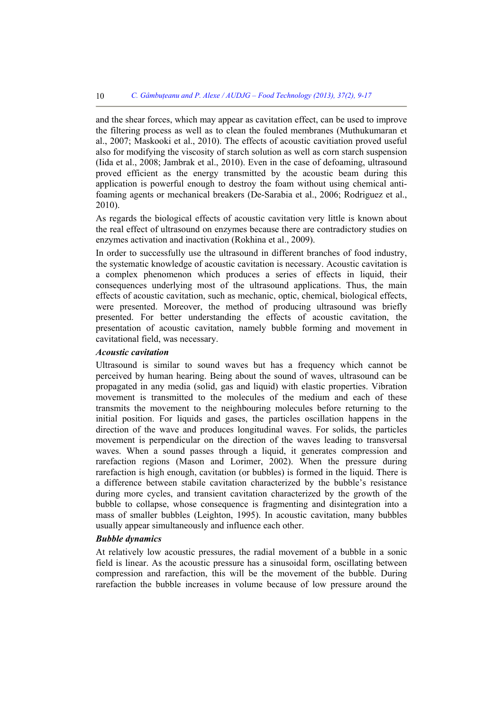and the shear forces, which may appear as cavitation effect, can be used to improve the filtering process as well as to clean the fouled membranes (Muthukumaran et al., 2007; Maskooki et al., 2010). The effects of acoustic cavitiation proved useful also for modifying the viscosity of starch solution as well as corn starch suspension (Iida et al., 2008; Jambrak et al., 2010). Even in the case of defoaming, ultrasound proved efficient as the energy transmitted by the acoustic beam during this application is powerful enough to destroy the foam without using chemical antifoaming agents or mechanical breakers (De-Sarabia et al., 2006; Rodriguez et al., 2010).

As regards the biological effects of acoustic cavitation very little is known about the real effect of ultrasound on enzymes because there are contradictory studies on enzymes activation and inactivation (Rokhina et al., 2009).

In order to successfully use the ultrasound in different branches of food industry, the systematic knowledge of acoustic cavitation is necessary. Acoustic cavitation is a complex phenomenon which produces a series of effects in liquid, their consequences underlying most of the ultrasound applications. Thus, the main effects of acoustic cavitation, such as mechanic, optic, chemical, biological effects, were presented. Moreover, the method of producing ultrasound was briefly presented. For better understanding the effects of acoustic cavitation, the presentation of acoustic cavitation, namely bubble forming and movement in cavitational field, was necessary.

#### *Acoustic cavitation*

Ultrasound is similar to sound waves but has a frequency which cannot be perceived by human hearing. Being about the sound of waves, ultrasound can be propagated in any media (solid, gas and liquid) with elastic properties. Vibration movement is transmitted to the molecules of the medium and each of these transmits the movement to the neighbouring molecules before returning to the initial position. For liquids and gases, the particles oscillation happens in the direction of the wave and produces longitudinal waves. For solids, the particles movement is perpendicular on the direction of the waves leading to transversal waves. When a sound passes through a liquid, it generates compression and rarefaction regions (Mason and Lorimer, 2002). When the pressure during rarefaction is high enough, cavitation (or bubbles) is formed in the liquid. There is a difference between stabile cavitation characterized by the bubble's resistance during more cycles, and transient cavitation characterized by the growth of the bubble to collapse, whose consequence is fragmenting and disintegration into a mass of smaller bubbles (Leighton, 1995). In acoustic cavitation, many bubbles usually appear simultaneously and influence each other.

## *Bubble dynamics*

At relatively low acoustic pressures, the radial movement of a bubble in a sonic field is linear. As the acoustic pressure has a sinusoidal form, oscillating between compression and rarefaction, this will be the movement of the bubble. During rarefaction the bubble increases in volume because of low pressure around the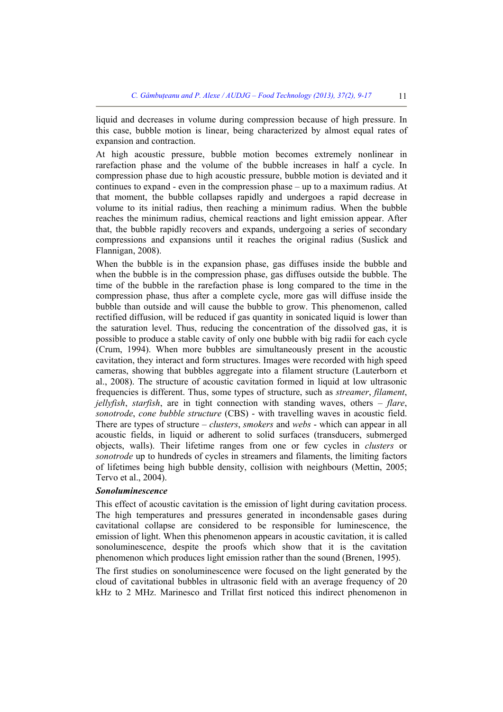liquid and decreases in volume during compression because of high pressure. In this case, bubble motion is linear, being characterized by almost equal rates of expansion and contraction.

At high acoustic pressure, bubble motion becomes extremely nonlinear in rarefaction phase and the volume of the bubble increases in half a cycle. In compression phase due to high acoustic pressure, bubble motion is deviated and it continues to expand - even in the compression phase – up to a maximum radius. At that moment, the bubble collapses rapidly and undergoes a rapid decrease in volume to its initial radius, then reaching a minimum radius. When the bubble reaches the minimum radius, chemical reactions and light emission appear. After that, the bubble rapidly recovers and expands, undergoing a series of secondary compressions and expansions until it reaches the original radius (Suslick and Flannigan, 2008).

When the bubble is in the expansion phase, gas diffuses inside the bubble and when the bubble is in the compression phase, gas diffuses outside the bubble. The time of the bubble in the rarefaction phase is long compared to the time in the compression phase, thus after a complete cycle, more gas will diffuse inside the bubble than outside and will cause the bubble to grow. This phenomenon, called rectified diffusion, will be reduced if gas quantity in sonicated liquid is lower than the saturation level. Thus, reducing the concentration of the dissolved gas, it is possible to produce a stable cavity of only one bubble with big radii for each cycle (Crum, 1994). When more bubbles are simultaneously present in the acoustic cavitation, they interact and form structures. Images were recorded with high speed cameras, showing that bubbles aggregate into a filament structure (Lauterborn et al., 2008). The structure of acoustic cavitation formed in liquid at low ultrasonic frequencies is different. Thus, some types of structure, such as *streamer*, *filament*, *jellyfish*, *starfish*, are in tight connection with standing waves, others – *flare*, *sonotrode*, *cone bubble structure* (CBS) - with travelling waves in acoustic field. There are types of structure – *clusters*, *smokers* and *webs* - which can appear in all acoustic fields, in liquid or adherent to solid surfaces (transducers, submerged objects, walls). Their lifetime ranges from one or few cycles in *clusters* or *sonotrode* up to hundreds of cycles in streamers and filaments, the limiting factors of lifetimes being high bubble density, collision with neighbours (Mettin, 2005; Tervo et al., 2004).

## *Sonoluminescence*

This effect of acoustic cavitation is the emission of light during cavitation process. The high temperatures and pressures generated in incondensable gases during cavitational collapse are considered to be responsible for luminescence, the emission of light. When this phenomenon appears in acoustic cavitation, it is called sonoluminescence, despite the proofs which show that it is the cavitation phenomenon which produces light emission rather than the sound (Brenen, 1995).

The first studies on sonoluminescence were focused on the light generated by the cloud of cavitational bubbles in ultrasonic field with an average frequency of 20 kHz to 2 MHz. Marinesco and Trillat first noticed this indirect phenomenon in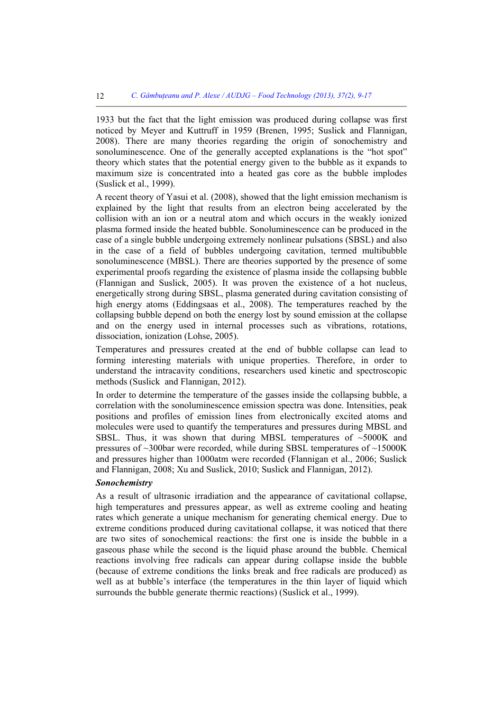1933 but the fact that the light emission was produced during collapse was first noticed by Meyer and Kuttruff in 1959 (Brenen, 1995; Suslick and Flannigan, 2008). There are many theories regarding the origin of sonochemistry and sonoluminescence. One of the generally accepted explanations is the "hot spot" theory which states that the potential energy given to the bubble as it expands to maximum size is concentrated into a heated gas core as the bubble implodes (Suslick et al., 1999).

A recent theory of Yasui et al. (2008), showed that the light emission mechanism is explained by the light that results from an electron being accelerated by the collision with an ion or a neutral atom and which occurs in the weakly ionized plasma formed inside the heated bubble. Sonoluminescence can be produced in the case of a single bubble undergoing extremely nonlinear pulsations (SBSL) and also in the case of a field of bubbles undergoing cavitation, termed multibubble sonoluminescence (MBSL). There are theories supported by the presence of some experimental proofs regarding the existence of plasma inside the collapsing bubble (Flannigan and Suslick, 2005). It was proven the existence of a hot nucleus, energetically strong during SBSL, plasma generated during cavitation consisting of high energy atoms (Eddingsaas et al., 2008). The temperatures reached by the collapsing bubble depend on both the energy lost by sound emission at the collapse and on the energy used in internal processes such as vibrations, rotations, dissociation, ionization (Lohse, 2005).

Temperatures and pressures created at the end of bubble collapse can lead to forming interesting materials with unique properties. Therefore, in order to understand the intracavity conditions, researchers used kinetic and spectroscopic methods (Suslick and Flannigan, 2012).

In order to determine the temperature of the gasses inside the collapsing bubble, a correlation with the sonoluminescence emission spectra was done. Intensities, peak positions and profiles of emission lines from electronically excited atoms and molecules were used to quantify the temperatures and pressures during MBSL and SBSL. Thus, it was shown that during MBSL temperatures of ~5000K and pressures of  $\sim$ 300bar were recorded, while during SBSL temperatures of  $\sim$ 15000K and pressures higher than 1000atm were recorded (Flannigan et al., 2006; Suslick and Flannigan, 2008; Xu and Suslick, 2010; Suslick and Flannigan, 2012).

## *Sonochemistry*

As a result of ultrasonic irradiation and the appearance of cavitational collapse, high temperatures and pressures appear, as well as extreme cooling and heating rates which generate a unique mechanism for generating chemical energy. Due to extreme conditions produced during cavitational collapse, it was noticed that there are two sites of sonochemical reactions: the first one is inside the bubble in a gaseous phase while the second is the liquid phase around the bubble. Chemical reactions involving free radicals can appear during collapse inside the bubble (because of extreme conditions the links break and free radicals are produced) as well as at bubble's interface (the temperatures in the thin layer of liquid which surrounds the bubble generate thermic reactions) (Suslick et al., 1999).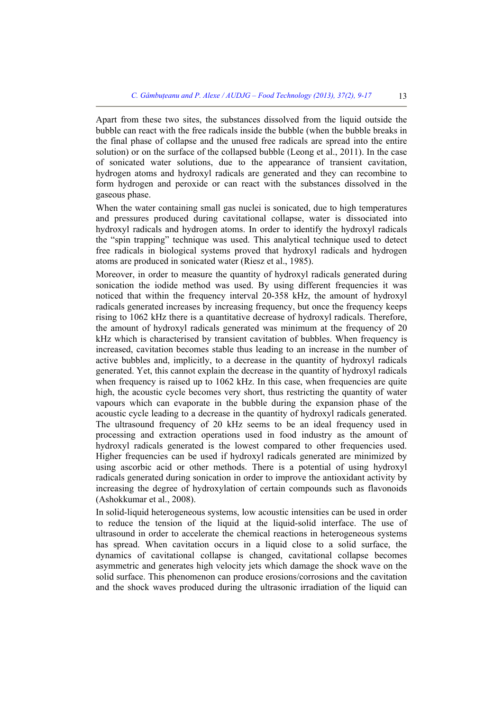Apart from these two sites, the substances dissolved from the liquid outside the bubble can react with the free radicals inside the bubble (when the bubble breaks in the final phase of collapse and the unused free radicals are spread into the entire solution) or on the surface of the collapsed bubble (Leong et al., 2011). In the case of sonicated water solutions, due to the appearance of transient cavitation, hydrogen atoms and hydroxyl radicals are generated and they can recombine to form hydrogen and peroxide or can react with the substances dissolved in the gaseous phase.

When the water containing small gas nuclei is sonicated, due to high temperatures and pressures produced during cavitational collapse, water is dissociated into hydroxyl radicals and hydrogen atoms. In order to identify the hydroxyl radicals the "spin trapping" technique was used. This analytical technique used to detect free radicals in biological systems proved that hydroxyl radicals and hydrogen atoms are produced in sonicated water (Riesz et al., 1985).

Moreover, in order to measure the quantity of hydroxyl radicals generated during sonication the iodide method was used. By using different frequencies it was noticed that within the frequency interval 20-358 kHz, the amount of hydroxyl radicals generated increases by increasing frequency, but once the frequency keeps rising to 1062 kHz there is a quantitative decrease of hydroxyl radicals. Therefore, the amount of hydroxyl radicals generated was minimum at the frequency of 20 kHz which is characterised by transient cavitation of bubbles. When frequency is increased, cavitation becomes stable thus leading to an increase in the number of active bubbles and, implicitly, to a decrease in the quantity of hydroxyl radicals generated. Yet, this cannot explain the decrease in the quantity of hydroxyl radicals when frequency is raised up to 1062 kHz. In this case, when frequencies are quite high, the acoustic cycle becomes very short, thus restricting the quantity of water vapours which can evaporate in the bubble during the expansion phase of the acoustic cycle leading to a decrease in the quantity of hydroxyl radicals generated. The ultrasound frequency of 20 kHz seems to be an ideal frequency used in processing and extraction operations used in food industry as the amount of hydroxyl radicals generated is the lowest compared to other frequencies used. Higher frequencies can be used if hydroxyl radicals generated are minimized by using ascorbic acid or other methods. There is a potential of using hydroxyl radicals generated during sonication in order to improve the antioxidant activity by increasing the degree of hydroxylation of certain compounds such as flavonoids (Ashokkumar et al., 2008).

In solid-liquid heterogeneous systems, low acoustic intensities can be used in order to reduce the tension of the liquid at the liquid-solid interface. The use of ultrasound in order to accelerate the chemical reactions in heterogeneous systems has spread. When cavitation occurs in a liquid close to a solid surface, the dynamics of cavitational collapse is changed, cavitational collapse becomes asymmetric and generates high velocity jets which damage the shock wave on the solid surface. This phenomenon can produce erosions/corrosions and the cavitation and the shock waves produced during the ultrasonic irradiation of the liquid can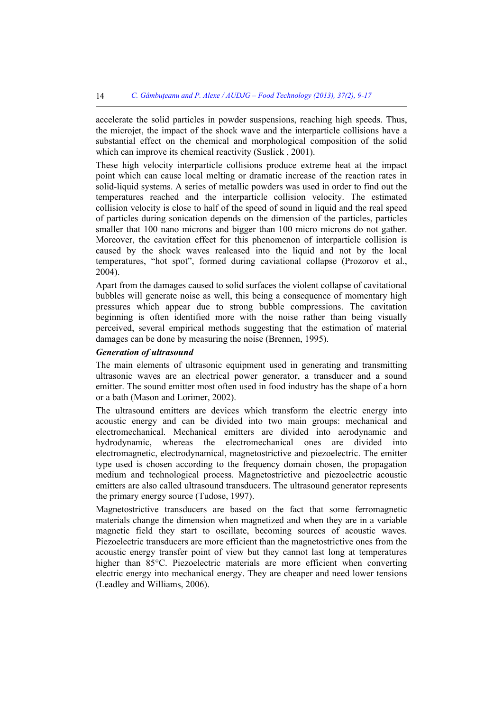accelerate the solid particles in powder suspensions, reaching high speeds. Thus, the microjet, the impact of the shock wave and the interparticle collisions have a substantial effect on the chemical and morphological composition of the solid which can improve its chemical reactivity (Suslick, 2001).

These high velocity interparticle collisions produce extreme heat at the impact point which can cause local melting or dramatic increase of the reaction rates in solid-liquid systems. A series of metallic powders was used in order to find out the temperatures reached and the interparticle collision velocity. The estimated collision velocity is close to half of the speed of sound in liquid and the real speed of particles during sonication depends on the dimension of the particles, particles smaller that 100 nano microns and bigger than 100 micro microns do not gather. Moreover, the cavitation effect for this phenomenon of interparticle collision is caused by the shock waves realeased into the liquid and not by the local temperatures, "hot spot", formed during caviational collapse (Prozorov et al., 2004).

Apart from the damages caused to solid surfaces the violent collapse of cavitational bubbles will generate noise as well, this being a consequence of momentary high pressures which appear due to strong bubble compressions. The cavitation beginning is often identified more with the noise rather than being visually perceived, several empirical methods suggesting that the estimation of material damages can be done by measuring the noise (Brennen, 1995).

# *Generation of ultrasound*

The main elements of ultrasonic equipment used in generating and transmitting ultrasonic waves are an electrical power generator, a transducer and a sound emitter. The sound emitter most often used in food industry has the shape of a horn or a bath (Mason and Lorimer, 2002).

The ultrasound emitters are devices which transform the electric energy into acoustic energy and can be divided into two main groups: mechanical and electromechanical. Mechanical emitters are divided into aerodynamic and hydrodynamic, whereas the electromechanical ones are divided into electromagnetic, electrodynamical, magnetostrictive and piezoelectric. The emitter type used is chosen according to the frequency domain chosen, the propagation medium and technological process. Magnetostrictive and piezoelectric acoustic emitters are also called ultrasound transducers. The ultrasound generator represents the primary energy source (Tudose, 1997).

Magnetostrictive transducers are based on the fact that some ferromagnetic materials change the dimension when magnetized and when they are in a variable magnetic field they start to oscillate, becoming sources of acoustic waves. Piezoelectric transducers are more efficient than the magnetostrictive ones from the acoustic energy transfer point of view but they cannot last long at temperatures higher than 85<sup>o</sup>C. Piezoelectric materials are more efficient when converting electric energy into mechanical energy. They are cheaper and need lower tensions (Leadley and Williams, 2006).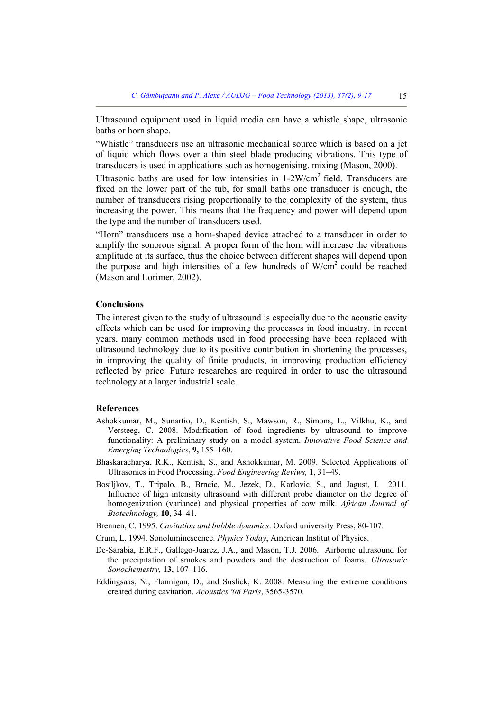Ultrasound equipment used in liquid media can have a whistle shape, ultrasonic baths or horn shape.

"Whistle" transducers use an ultrasonic mechanical source which is based on a jet of liquid which flows over a thin steel blade producing vibrations. This type of transducers is used in applications such as homogenising, mixing (Mason, 2000).

Ultrasonic baths are used for low intensities in 1-2W/cm2 field. Transducers are fixed on the lower part of the tub, for small baths one transducer is enough, the number of transducers rising proportionally to the complexity of the system, thus increasing the power. This means that the frequency and power will depend upon the type and the number of transducers used.

"Horn" transducers use a horn-shaped device attached to a transducer in order to amplify the sonorous signal. A proper form of the horn will increase the vibrations amplitude at its surface, thus the choice between different shapes will depend upon the purpose and high intensities of a few hundreds of  $W/cm<sup>2</sup>$  could be reached (Mason and Lorimer, 2002).

#### **Conclusions**

The interest given to the study of ultrasound is especially due to the acoustic cavity effects which can be used for improving the processes in food industry. In recent years, many common methods used in food processing have been replaced with ultrasound technology due to its positive contribution in shortening the processes, in improving the quality of finite products, in improving production efficiency reflected by price. Future researches are required in order to use the ultrasound technology at a larger industrial scale.

## **References**

- Ashokkumar, M., Sunartio, D., Kentish, S., Mawson, R., Simons, L., Vilkhu, K., and Versteeg, C. 2008. Modification of food ingredients by ultrasound to improve functionality: A preliminary study on a model system. *Innovative Food Science and Emerging Technologies*, **9,** 155–160.
- Bhaskaracharya, R.K., Kentish, S., and Ashokkumar, M. 2009. Selected Applications of Ultrasonics in Food Processing. *Food Engineering Reviws,* **1**, 31–49.
- Bosiljkov, T., Tripalo, B., Brncic, M., Jezek, D., Karlovic, S., and Jagust, I. 2011. Influence of high intensity ultrasound with different probe diameter on the degree of homogenization (variance) and physical properties of cow milk. *African Journal of Biotechnology,* **10**, 34–41.
- Brennen, C. 1995. *Cavitation and bubble dynamics*. Oxford university Press, 80-107.
- Crum, L. 1994. Sonoluminescence. *Physics Today*, American Institut of Physics.
- De-Sarabia, E.R.F., Gallego-Juarez, J.A., and Mason, T.J. 2006. Airborne ultrasound for the precipitation of smokes and powders and the destruction of foams. *Ultrasonic Sonochemestry,* **13**, 107–116.
- Eddingsaas, N., Flannigan, D., and Suslick, K. 2008. Measuring the extreme conditions created during cavitation. *Acoustics '08 Paris*, 3565-3570.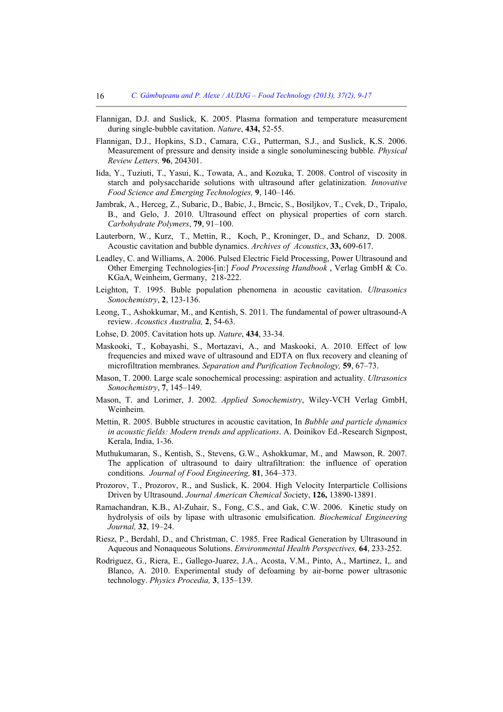- Flannigan, D.J. and Suslick, K. 2005. Plasma formation and temperature measurement during single-bubble cavitation. *Nature*, **434,** 52-55.
- Flannigan, D.J., Hopkins, S.D., Camara, C.G., Putterman, S.J., and Suslick, K.S. 2006. Measurement of pressure and density inside a single sonoluminescing bubble. *Physical Review Letters,* **96**, 204301.
- Iida, Y., Tuziuti, T., Yasui, K., Towata, A., and Kozuka, T. 2008. Control of viscosity in starch and polysaccharide solutions with ultrasound after gelatinization. *Innovative Food Science and Emerging Technologies,* **9**, 140–146.
- Jambrak, A., Herceg, Z., Subaric, D., Babic, J., Brncic, S., Bosiljkov, T., Cvek, D., Tripalo, B., and Gelo, J. 2010. Ultrasound effect on physical properties of corn starch. *Carbohydrate Polymers*, **79**, 91–100.
- Lauterborn, W., Kurz, T., Mettin, R., Koch, P., Kroninger, D., and Schanz, D. 2008. Acoustic cavitation and bubble dynamics. *Archives of Acoustics*, **33,** 609-617.
- Leadley, C. and Williams, A. 2006. Pulsed Electric Field Processing, Power Ultrasound and Other Emerging Technologies-[in:] *Food Processing Handbook* , Verlag GmbH & Co. KGaA, Weinheim, Germany, 218-222.
- Leighton, T. 1995. Buble population phenomena in acoustic cavitation. *Ultrasonics Sonochemistry*, **2**, 123-136.
- Leong, T., Ashokkumar, M., and Kentish, S. 2011. The fundamental of power ultrasound-A review. *Acoustics Australia,* **2**, 54-63.
- Lohse, D. 2005. Cavitation hots up. *Nature*, **434**, 33-34.
- Maskooki, T., Kobayashi, S., Mortazavi, A., and Maskooki, A. 2010. Effect of low frequencies and mixed wave of ultrasound and EDTA on flux recovery and cleaning of microfiltration membranes. *Separation and Purification Technology,* **59**, 67–73.
- Mason, T. 2000. Large scale sonochemical processing: aspiration and actuality. *Ultrasonics Sonochemistry*, **7**, 145–149.
- Mason, T. and Lorimer, J. 2002. *Applied Sonochemistry*, Wiley-VCH Verlag GmbH, Weinheim.
- Mettin, R. 2005. Bubble structures in acoustic cavitation, In *Bubble and particle dynamics in acoustic fields: Modern trends and applications*. A. Doinikov Ed.-Research Signpost, Kerala, India, 1-36.
- Muthukumaran, S., Kentish, S., Stevens, G.W., Ashokkumar, M., and Mawson, R. 2007. The application of ultrasound to dairy ultrafiltration: the influence of operation conditions*. Journal of Food Engineering,* **81**, 364–373.
- Prozorov, T., Prozorov, R., and Suslick, K. 2004. High Velocity Interparticle Collisions Driven by Ultrasound. *Journal American Chemical Soc*iety, **126,** 13890-13891.
- Ramachandran, K.B., Al-Zuhair, S., Fong, C.S., and Gak, C.W. 2006. Kinetic study on hydrolysis of oils by lipase with ultrasonic emulsification. *Biochemical Engineering Journal,* **32**, 19–24.
- Riesz, P., Berdahl, D., and Christman, C. 1985. Free Radical Generation by Ultrasound in Aqueous and Nonaqueous Solutions. *Environmental Health Perspectives,* **64**, 233-252.
- Rodriguez, G., Riera, E., Gallego-Juarez, J.A., Acosta, V.M., Pinto, A., Martinez, I,. and Blanco, A. 2010. Experimental study of defoaming by air-borne power ultrasonic technology. *Physics Procedia,* **3**, 135–139.